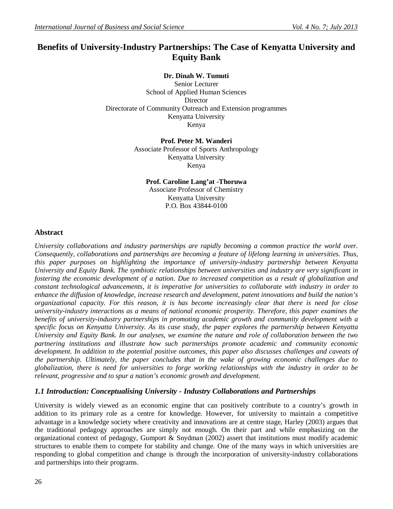# **Benefits of University-Industry Partnerships: The Case of Kenyatta University and Equity Bank**

### **Dr. Dinah W. Tumuti**

Senior Lecturer School of Applied Human Sciences **Director** Directorate of Community Outreach and Extension programmes Kenyatta University Kenya

#### **Prof. Peter M. Wanderi** Associate Professor of Sports Anthropology Kenyatta University Kenya

#### **Prof. Caroline Lang'at -Thoruwa** Associate Professor of Chemistry Kenyatta University P.O. Box 43844-0100

### **Abstract**

*University collaborations and industry partnerships are rapidly becoming a common practice the world over. Consequently, collaborations and partnerships are becoming a feature of lifelong learning in universities. Thus, this paper purposes on highlighting the importance of university-industry partnership between Kenyatta University and Equity Bank. The symbiotic relationships between universities and industry are very significant in fostering the economic development of a nation. Due to increased competition as a result of globalization and constant technological advancements, it is imperative for universities to collaborate with industry in order to enhance the diffusion of knowledge, increase research and development, patent innovations and build the nation's organizational capacity. For this reason, it is has become increasingly clear that there is need for close university-industry interactions as a means of national economic prosperity. Therefore, this paper examines the benefits of university-industry partnerships in promoting academic growth and community development with a specific focus on Kenyatta University. As its case study, the paper explores the partnership between Kenyatta University and Equity Bank. In our analyses, we examine the nature and role of collaboration between the two partnering institutions and illustrate how such partnerships promote academic and community economic development. In addition to the potential positive outcomes, this paper also discusses challenges and caveats of the partnership. Ultimately, the paper concludes that in the wake of growing economic challenges due to globalization, there is need for universities to forge working relationships with the industry in order to be relevant, progressive and to spur a nation's economic growth and development.*

# *1.1 Introduction: Conceptualising University - Industry Collaborations and Partnerships*

University is widely viewed as an economic engine that can positively contribute to a country's growth in addition to its primary role as a centre for knowledge. However, for university to maintain a competitive advantage in a knowledge society where creativity and innovations are at centre stage, Harley (2003) argues that the traditional pedagogy approaches are simply not enough. On their part and while emphasizing on the organizational context of pedagogy, Gumport & Snydman (2002) assert that institutions must modify academic structures to enable them to compete for stability and change. One of the many ways in which universities are responding to global competition and change is through the incorporation of university-industry collaborations and partnerships into their programs.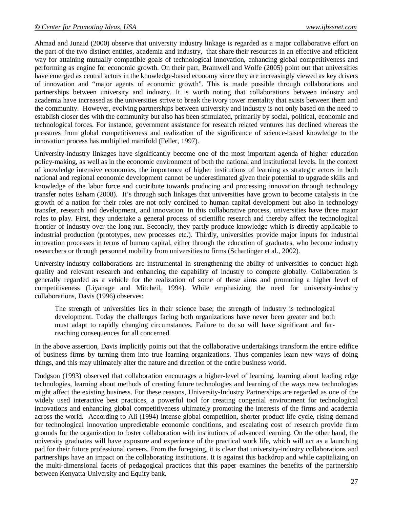Ahmad and Junaid (2000) observe that university industry linkage is regarded as a major collaborative effort on the part of the two distinct entities, academia and industry, that share their resources in an effective and efficient way for attaining mutually compatible goals of technological innovation, enhancing global competitiveness and performing as engine for economic growth. On their part, Bramwell and Wolfe (2005) point out that universities have emerged as central actors in the knowledge-based economy since they are increasingly viewed as key drivers of innovation and "major agents of economic growth". This is made possible through collaborations and partnerships between university and industry. It is worth noting that collaborations between industry and academia have increased as the universities strive to break the ivory tower mentality that exists between them and the community. However, evolving partnerships between university and industry is not only based on the need to establish closer ties with the community but also has been stimulated, primarily by social, political, economic and technological forces. For instance, government assistance for research related ventures has declined whereas the pressures from global competitiveness and realization of the significance of science-based knowledge to the innovation process has multiplied manifold (Feller, 1997).

University-industry linkages have significantly become one of the most important agenda of higher education policy-making, as well as in the economic environment of both the national and institutional levels. In the context of knowledge intensive economies, the importance of higher institutions of learning as strategic actors in both national and regional economic development cannot be underestimated given their potential to upgrade skills and knowledge of the labor force and contribute towards producing and processing innovation through technology transfer notes Esham (2008). It's through such linkages that universities have grown to become catalysts in the growth of a nation for their roles are not only confined to human capital development but also in technology transfer, research and development, and innovation. In this collaborative process, universities have three major roles to play. First, they undertake a general process of scientific research and thereby affect the technological frontier of industry over the long run. Secondly, they partly produce knowledge which is directly applicable to industrial production (prototypes, new processes etc.). Thirdly, universities provide major inputs for industrial innovation processes in terms of human capital, either through the education of graduates, who become industry researchers or through personnel mobility from universities to firms (Schartinger et al., 2002).

University-industry collaborations are instrumental in strengthening the ability of universities to conduct high quality and relevant research and enhancing the capability of industry to compete globally. Collaboration is generally regarded as a vehicle for the realization of some of these aims and promoting a higher level of competitiveness (Liyanage and Mitcheil, 1994). While emphasizing the need for university-industry collaborations, Davis (1996) observes:

The strength of universities lies in their science base; the strength of industry is technological development. Today the challenges facing both organizations have never been greater and both must adapt to rapidly changing circumstances. Failure to do so will have significant and farreaching consequences for all concerned.

In the above assertion, Davis implicitly points out that the collaborative undertakings transform the entire edifice of business firms by turning them into true learning organizations. Thus companies learn new ways of doing things, and this may ultimately alter the nature and direction of the entire business world.

Dodgson (1993) observed that collaboration encourages a higher-level of learning, learning about leading edge technologies, learning about methods of creating future technologies and learning of the ways new technologies might affect the existing business. For these reasons, University-Industry Partnerships are regarded as one of the widely used interactive best practices, a powerful tool for creating congenial environment for technological innovations and enhancing global competitiveness ultimately promoting the interests of the firms and academia across the world. According to Ali (1994) intense global competition, shorter product life cycle, rising demand for technological innovation unpredictable economic conditions, and escalating cost of research provide firm grounds for the organization to foster collaboration with institutions of advanced learning. On the other hand, the university graduates will have exposure and experience of the practical work life, which will act as a launching pad for their future professional careers. From the foregoing, it is clear that university-industry collaborations and partnerships have an impact on the collaborating institutions. It is against this backdrop and while capitalizing on the multi-dimensional facets of pedagogical practices that this paper examines the benefits of the partnership between Kenyatta University and Equity bank.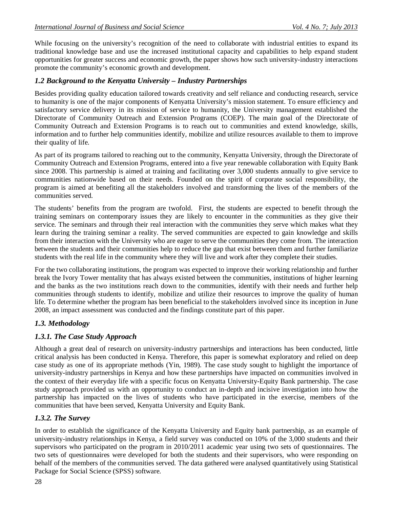While focusing on the university's recognition of the need to collaborate with industrial entities to expand its traditional knowledge base and use the increased institutional capacity and capabilities to help expand student opportunities for greater success and economic growth, the paper shows how such university-industry interactions promote the community's economic growth and development.

# *1.2 Background to the Kenyatta University – Industry Partnerships*

Besides providing quality education tailored towards creativity and self reliance and conducting research, service to humanity is one of the major components of Kenyatta University's mission statement. To ensure efficiency and satisfactory service delivery in its mission of service to humanity, the University management established the Directorate of Community Outreach and Extension Programs (COEP). The main goal of the Directorate of Community Outreach and Extension Programs is to reach out to communities and extend knowledge, skills, information and to further help communities identify, mobilize and utilize resources available to them to improve their quality of life.

As part of its programs tailored to reaching out to the community, Kenyatta University, through the Directorate of Community Outreach and Extension Programs, entered into a five year renewable collaboration with Equity Bank since 2008. This partnership is aimed at training and facilitating over 3,000 students annually to give service to communities nationwide based on their needs. Founded on the spirit of corporate social responsibility, the program is aimed at benefiting all the stakeholders involved and transforming the lives of the members of the communities served.

The students' benefits from the program are twofold. First, the students are expected to benefit through the training seminars on contemporary issues they are likely to encounter in the communities as they give their service. The seminars and through their real interaction with the communities they serve which makes what they learn during the training seminar a reality. The served communities are expected to gain knowledge and skills from their interaction with the University who are eager to serve the communities they come from. The interaction between the students and their communities help to reduce the gap that exist between them and further familiarize students with the real life in the community where they will live and work after they complete their studies.

For the two collaborating institutions, the program was expected to improve their working relationship and further break the Ivory Tower mentality that has always existed between the communities, institutions of higher learning and the banks as the two institutions reach down to the communities, identify with their needs and further help communities through students to identify, mobilize and utilize their resources to improve the quality of human life. To determine whether the program has been beneficial to the stakeholders involved since its inception in June 2008, an impact assessment was conducted and the findings constitute part of this paper.

# *1.3. Methodology*

# *1.3.1. The Case Study Approach*

Although a great deal of research on university-industry partnerships and interactions has been conducted, little critical analysis has been conducted in Kenya. Therefore, this paper is somewhat exploratory and relied on deep case study as one of its appropriate methods (Yin, 1989). The case study sought to highlight the importance of university-industry partnerships in Kenya and how these partnerships have impacted on communities involved in the context of their everyday life with a specific focus on Kenyatta University-Equity Bank partnership. The case study approach provided us with an opportunity to conduct an in-depth and incisive investigation into how the partnership has impacted on the lives of students who have participated in the exercise, members of the communities that have been served, Kenyatta University and Equity Bank.

# *1.3.2. The Survey*

In order to establish the significance of the Kenyatta University and Equity bank partnership, as an example of university-industry relationships in Kenya, a field survey was conducted on 10% of the 3,000 students and their supervisors who participated on the program in 2010/2011 academic year using two sets of questionnaires. The two sets of questionnaires were developed for both the students and their supervisors, who were responding on behalf of the members of the communities served. The data gathered were analysed quantitatively using Statistical Package for Social Science (SPSS) software.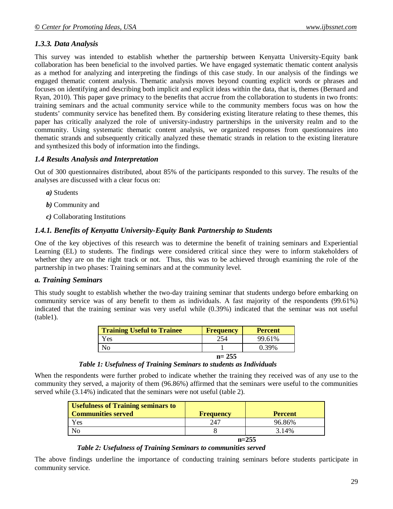# *1.3.3. Data Analysis*

This survey was intended to establish whether the partnership between Kenyatta University-Equity bank collaboration has been beneficial to the involved parties. We have engaged systematic thematic content analysis as a method for analyzing and interpreting the findings of this case study. In our analysis of the findings we engaged thematic content analysis. Thematic analysis moves beyond counting explicit words or phrases and focuses on identifying and describing both implicit and explicit ideas within the data, that is, themes (Bernard and Ryan, 2010). This paper gave primacy to the benefits that accrue from the collaboration to students in two fronts: training seminars and the actual community service while to the community members focus was on how the students' community service has benefited them. By considering existing literature relating to these themes, this paper has critically analyzed the role of university-industry partnerships in the university realm and to the community. Using systematic thematic content analysis, we organized responses from questionnaires into thematic strands and subsequently critically analyzed these thematic strands in relation to the existing literature and synthesized this body of information into the findings.

# *1.4 Results Analysis and Interpretation*

Out of 300 questionnaires distributed, about 85% of the participants responded to this survey. The results of the analyses are discussed with a clear focus on:

- *a)* Students
- *b)* Community and
- *c)* Collaborating Institutions

# *1.4.1. Benefits of Kenyatta University-Equity Bank Partnership to Students*

One of the key objectives of this research was to determine the benefit of training seminars and Experiential Learning (EL) to students. The findings were considered critical since they were to inform stakeholders of whether they are on the right track or not. Thus, this was to be achieved through examining the role of the partnership in two phases: Training seminars and at the community level.

### *a. Training Seminars*

This study sought to establish whether the two-day training seminar that students undergo before embarking on community service was of any benefit to them as individuals. A fast majority of the respondents (99.61%) indicated that the training seminar was very useful while (0.39%) indicated that the seminar was not useful (table1).

| <b>Training Useful to Trainee</b> | <b>Frequency</b> | <b>Percent</b> |
|-----------------------------------|------------------|----------------|
| Yes                               | 254              | 99.61%         |
| No                                |                  | 0.39%          |
|                                   | $n = 255$        |                |

 *Table 1: Usefulness of Training Seminars to students as Individuals*

When the respondents were further probed to indicate whether the training they received was of any use to the community they served, a majority of them (96.86%) affirmed that the seminars were useful to the communities served while (3.14%) indicated that the seminars were not useful (table 2).

| <b>Usefulness of Training seminars to</b><br><b>Communities served</b> | <b>Frequency</b> | <b>Percent</b> |
|------------------------------------------------------------------------|------------------|----------------|
| Yes                                                                    | 247              | 96.86%         |
| NO                                                                     |                  | 3.14%          |
|                                                                        | $n=255$          |                |

#### *Table 2: Usefulness of Training Seminars to communities served*

The above findings underline the importance of conducting training seminars before students participate in community service.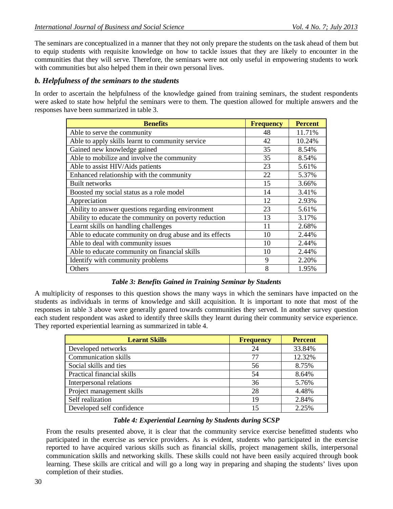The seminars are conceptualized in a manner that they not only prepare the students on the task ahead of them but to equip students with requisite knowledge on how to tackle issues that they are likely to encounter in the communities that they will serve. Therefore, the seminars were not only useful in empowering students to work with communities but also helped them in their own personal lives.

### *b. Helpfulness of the seminars to the students*

In order to ascertain the helpfulness of the knowledge gained from training seminars, the student respondents were asked to state how helpful the seminars were to them. The question allowed for multiple answers and the responses have been summarized in table 3.

| <b>Benefits</b>                                         | <b>Frequency</b> | <b>Percent</b> |
|---------------------------------------------------------|------------------|----------------|
| Able to serve the community                             | 48               | 11.71%         |
| Able to apply skills learnt to community service        | 42               | 10.24%         |
| Gained new knowledge gained                             | 35               | 8.54%          |
| Able to mobilize and involve the community              | 35               | 8.54%          |
| Able to assist HIV/Aids patients                        | 23               | 5.61%          |
| Enhanced relationship with the community                | 22               | 5.37%          |
| Built networks                                          | 15               | 3.66%          |
| Boosted my social status as a role model                | 14               | 3.41%          |
| Appreciation                                            | 12               | 2.93%          |
| Ability to answer questions regarding environment       | 23               | 5.61%          |
| Ability to educate the community on poverty reduction   | 13               | 3.17%          |
| Learnt skills on handling challenges                    | 11               | 2.68%          |
| Able to educate community on drug abuse and its effects | 10               | 2.44%          |
| Able to deal with community issues                      | 10               | 2.44%          |
| Able to educate community on financial skills           | 10               | 2.44%          |
| Identify with community problems                        | 9                | 2.20%          |
| Others                                                  | 8                | 1.95%          |

### *Table 3: Benefits Gained in Training Seminar by Students*

A multiplicity of responses to this question shows the many ways in which the seminars have impacted on the students as individuals in terms of knowledge and skill acquisition. It is important to note that most of the responses in table 3 above were generally geared towards communities they served. In another survey question each student respondent was asked to identify three skills they learnt during their community service experience. They reported experiential learning as summarized in table 4.

| <b>Learnt Skills</b>        | <b>Frequency</b> | <b>Percent</b> |
|-----------------------------|------------------|----------------|
| Developed networks          | 24               | 33.84%         |
| <b>Communication skills</b> | 77               | 12.32%         |
| Social skills and ties      | 56               | 8.75%          |
| Practical financial skills  | 54               | 8.64%          |
| Interpersonal relations     | 36               | 5.76%          |
| Project management skills   | 28               | 4.48%          |
| Self realization            | 19               | 2.84%          |
| Developed self confidence   | 15               | 2.25%          |

### *Table 4: Experiential Learning by Students during SCSP*

From the results presented above, it is clear that the community service exercise benefitted students who participated in the exercise as service providers. As is evident, students who participated in the exercise reported to have acquired various skills such as financial skills, project management skills, interpersonal communication skills and networking skills. These skills could not have been easily acquired through book learning. These skills are critical and will go a long way in preparing and shaping the students' lives upon completion of their studies.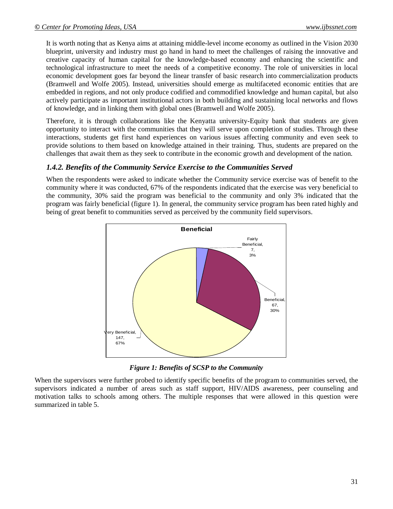It is worth noting that as Kenya aims at attaining middle-level income economy as outlined in the Vision 2030 blueprint, university and industry must go hand in hand to meet the challenges of raising the innovative and creative capacity of human capital for the knowledge-based economy and enhancing the scientific and technological infrastructure to meet the needs of a competitive economy. The role of universities in local economic development goes far beyond the linear transfer of basic research into commercialization products (Bramwell and Wolfe 2005). Instead, universities should emerge as multifaceted economic entities that are embedded in regions, and not only produce codified and commodified knowledge and human capital, but also actively participate as important institutional actors in both building and sustaining local networks and flows of knowledge, and in linking them with global ones (Bramwell and Wolfe 2005).

Therefore, it is through collaborations like the Kenyatta university-Equity bank that students are given opportunity to interact with the communities that they will serve upon completion of studies. Through these interactions, students get first hand experiences on various issues affecting community and even seek to provide solutions to them based on knowledge attained in their training. Thus, students are prepared on the challenges that await them as they seek to contribute in the economic growth and development of the nation.

#### *1.4.2. Benefits of the Community Service Exercise to the Communities Served*

When the respondents were asked to indicate whether the Community service exercise was of benefit to the community where it was conducted, 67% of the respondents indicated that the exercise was very beneficial to the community, 30% said the program was beneficial to the community and only 3% indicated that the program was fairly beneficial (figure 1). In general, the community service program has been rated highly and being of great benefit to communities served as perceived by the community field supervisors.



*Figure 1: Benefits of SCSP to the Community*

When the supervisors were further probed to identify specific benefits of the program to communities served, the supervisors indicated a number of areas such as staff support, HIV/AIDS awareness, peer counseling and motivation talks to schools among others. The multiple responses that were allowed in this question were summarized in table 5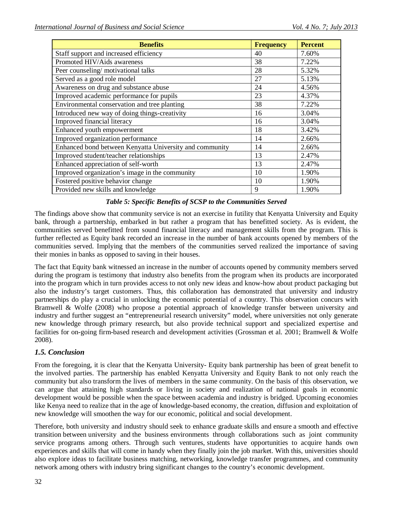| <b>Benefits</b>                                         | <b>Frequency</b> | <b>Percent</b> |
|---------------------------------------------------------|------------------|----------------|
| Staff support and increased efficiency                  | 40               | 7.60%          |
| Promoted HIV/Aids awareness                             | 38               | 7.22%          |
| Peer counseling/motivational talks                      | 28               | 5.32%          |
| Served as a good role model                             | 27               | 5.13%          |
| Awareness on drug and substance abuse                   | 24               | 4.56%          |
| Improved academic performance for pupils                | 23               | 4.37%          |
| Environmental conservation and tree planting            | 38               | 7.22%          |
| Introduced new way of doing things-creativity           | 16               | 3.04%          |
| Improved financial literacy                             | 16               | 3.04%          |
| Enhanced youth empowerment                              | 18               | 3.42%          |
| Improved organization performance                       | 14               | 2.66%          |
| Enhanced bond between Kenyatta University and community | 14               | 2.66%          |
| Improved student/teacher relationships                  | 13               | 2.47%          |
| Enhanced appreciation of self-worth                     | 13               | 2.47%          |
| Improved organization's image in the community          | 10               | 1.90%          |
| Fostered positive behavior change                       | 10               | 1.90%          |
| Provided new skills and knowledge                       | 9                | 1.90%          |

### *Table 5: Specific Benefits of SCSP to the Communities Served*

The findings above show that community service is not an exercise in futility that Kenyatta University and Equity bank, through a partnership, embarked in but rather a program that has benefitted society. As is evident, the communities served benefitted from sound financial literacy and management skills from the program. This is further reflected as Equity bank recorded an increase in the number of bank accounts opened by members of the communities served. Implying that the members of the communities served realized the importance of saving their monies in banks as opposed to saving in their houses.

The fact that Equity bank witnessed an increase in the number of accounts opened by community members served during the program is testimony that industry also benefits from the program when its products are incorporated into the program which in turn provides access to not only new ideas and know-how about product packaging but also the industry's target customers. Thus, this collaboration has demonstrated that university and industry partnerships do play a crucial in unlocking the economic potential of a country. This observation concurs with Bramwell & Wolfe (2008) who propose a potential approach of knowledge transfer between university and industry and further suggest an "entrepreneurial research university" model, where universities not only generate new knowledge through primary research, but also provide technical support and specialized expertise and facilities for on-going firm-based research and development activities (Grossman et al. 2001; Bramwell & Wolfe 2008).

# *1.5. Conclusion*

From the foregoing, it is clear that the Kenyatta University- Equity bank partnership has been of great benefit to the involved parties. The partnership has enabled Kenyatta University and Equity Bank to not only reach the community but also transform the lives of members in the same community. On the basis of this observation, we can argue that attaining high standards or living in society and realization of national goals in economic development would be possible when the space between academia and industry is bridged. Upcoming economies like Kenya need to realize that in the age of knowledge-based economy, the creation, diffusion and exploitation of new knowledge will smoothen the way for our economic, political and social development.

Therefore, both university and industry should seek to enhance graduate skills and ensure a smooth and effective transition between university and the business environments through collaborations such as joint community service programs among others. Through such ventures, students have opportunities to acquire hands own experiences and skills that will come in handy when they finally join the job market. With this, universities should also explore ideas to facilitate business matching, networking, knowledge transfer programmes, and community network among others with industry bring significant changes to the country's economic development.